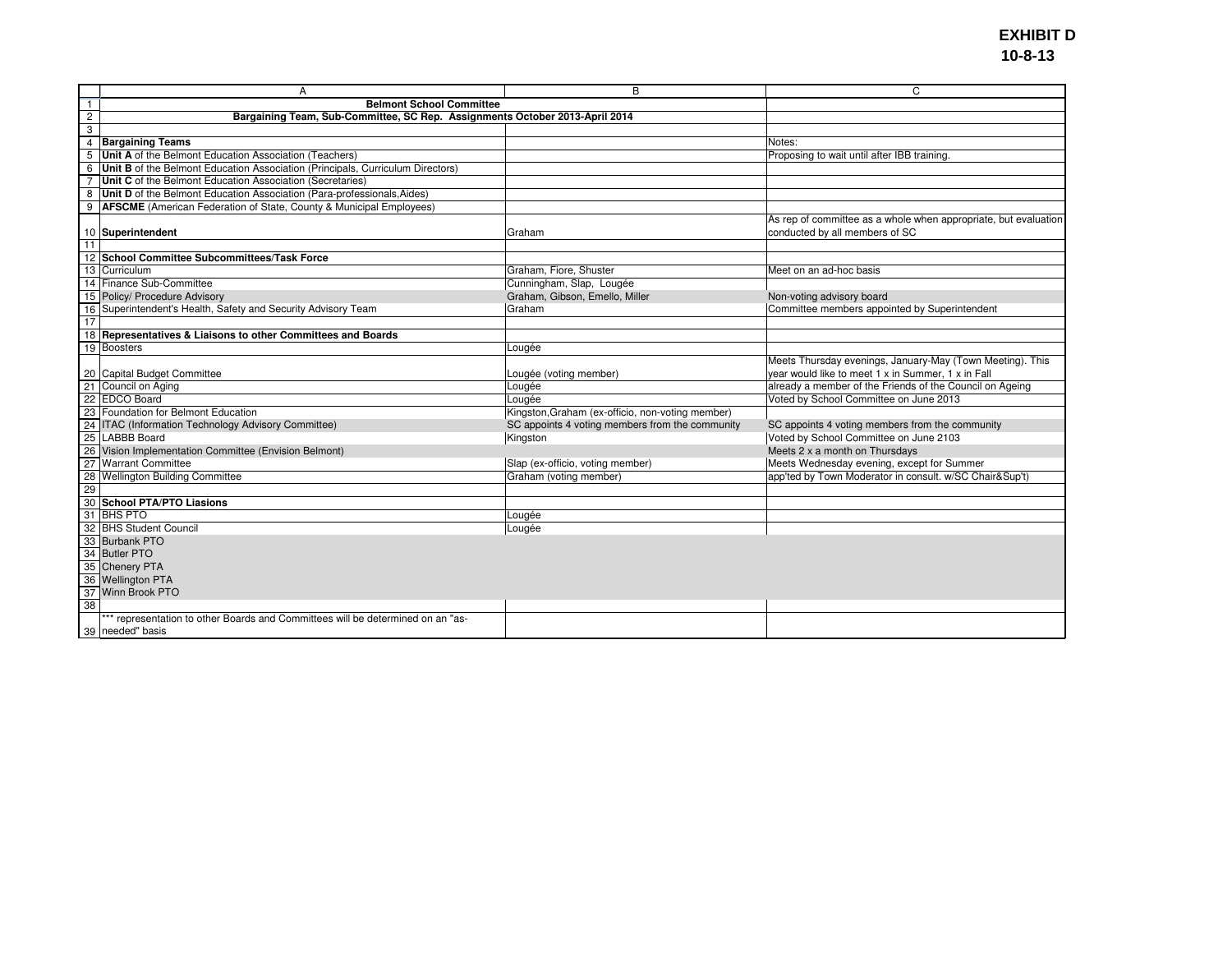|                 | A                                                                               | B                                                | C                                                               |
|-----------------|---------------------------------------------------------------------------------|--------------------------------------------------|-----------------------------------------------------------------|
| $\overline{1}$  | <b>Belmont School Committee</b>                                                 |                                                  |                                                                 |
| $\overline{c}$  | Bargaining Team, Sub-Committee, SC Rep. Assignments October 2013-April 2014     |                                                  |                                                                 |
| 3               |                                                                                 |                                                  |                                                                 |
|                 | 4 Bargaining Teams                                                              |                                                  | Notes:                                                          |
| $\overline{5}$  | Unit A of the Belmont Education Association (Teachers)                          |                                                  | Proposing to wait until after IBB training.                     |
| 6               | Unit B of the Belmont Education Association (Principals, Curriculum Directors)  |                                                  |                                                                 |
| $\overline{7}$  | Unit C of the Belmont Education Association (Secretaries)                       |                                                  |                                                                 |
| 8               | Unit D of the Belmont Education Association (Para-professionals, Aides)         |                                                  |                                                                 |
| 9               | <b>AFSCME</b> (American Federation of State, County & Municipal Employees)      |                                                  |                                                                 |
|                 |                                                                                 |                                                  | As rep of committee as a whole when appropriate, but evaluation |
|                 | 10 Superintendent                                                               | Graham                                           | conducted by all members of SC                                  |
| $\overline{11}$ |                                                                                 |                                                  |                                                                 |
|                 | 12 School Committee Subcommittees/Task Force                                    |                                                  |                                                                 |
| 13              | Curriculum                                                                      | Graham, Fiore, Shuster                           | Meet on an ad-hoc basis                                         |
|                 | 14 Finance Sub-Committee                                                        | Cunningham, Slap, Lougée                         |                                                                 |
|                 | 15 Policy/ Procedure Advisory                                                   | Graham, Gibson, Emello, Miller                   | Non-voting advisory board                                       |
| 16              | Superintendent's Health, Safety and Security Advisory Team                      | Graham                                           | Committee members appointed by Superintendent                   |
| 17              |                                                                                 |                                                  |                                                                 |
|                 | 18 Representatives & Liaisons to other Committees and Boards                    |                                                  |                                                                 |
|                 | 19 Boosters                                                                     | Lougée                                           |                                                                 |
|                 |                                                                                 |                                                  | Meets Thursday evenings, January-May (Town Meeting). This       |
|                 | 20 Capital Budget Committee                                                     | Lougée (voting member)                           | year would like to meet 1 x in Summer, 1 x in Fall              |
|                 | 21 Council on Aging                                                             | Lougée                                           | already a member of the Friends of the Council on Ageing        |
|                 | 22 EDCO Board                                                                   | Lougée                                           | Voted by School Committee on June 2013                          |
| 23              | Foundation for Belmont Education                                                | Kingston, Graham (ex-officio, non-voting member) |                                                                 |
|                 | 24 ITAC (Information Technology Advisory Committee)                             | SC appoints 4 voting members from the community  | SC appoints 4 voting members from the community                 |
|                 | 25 LABBB Board                                                                  | Kingston                                         | Voted by School Committee on June 2103                          |
|                 | 26 Vision Implementation Committee (Envision Belmont)                           |                                                  | Meets 2 x a month on Thursdays                                  |
| $\overline{27}$ | <b>Warrant Committee</b>                                                        | Slap (ex-officio, voting member)                 | Meets Wednesday evening, except for Summer                      |
| 28              | <b>Wellington Building Committee</b>                                            | Graham (voting member)                           | app'ted by Town Moderator in consult. w/SC Chair⋑'t)            |
| 29              |                                                                                 |                                                  |                                                                 |
|                 | 30 School PTA/PTO Liasions                                                      |                                                  |                                                                 |
|                 | 31 BHS PTO                                                                      | Lougée                                           |                                                                 |
| 32              | <b>BHS Student Council</b>                                                      | Lougée                                           |                                                                 |
|                 | 33 Burbank PTO                                                                  |                                                  |                                                                 |
|                 | 34 Butler PTO                                                                   |                                                  |                                                                 |
|                 | 35 Chenery PTA                                                                  |                                                  |                                                                 |
|                 | 36 Wellington PTA                                                               |                                                  |                                                                 |
|                 | 37 Winn Brook PTO                                                               |                                                  |                                                                 |
| 38              |                                                                                 |                                                  |                                                                 |
|                 | *** representation to other Boards and Committees will be determined on an "as- |                                                  |                                                                 |
|                 | 39 needed" basis                                                                |                                                  |                                                                 |